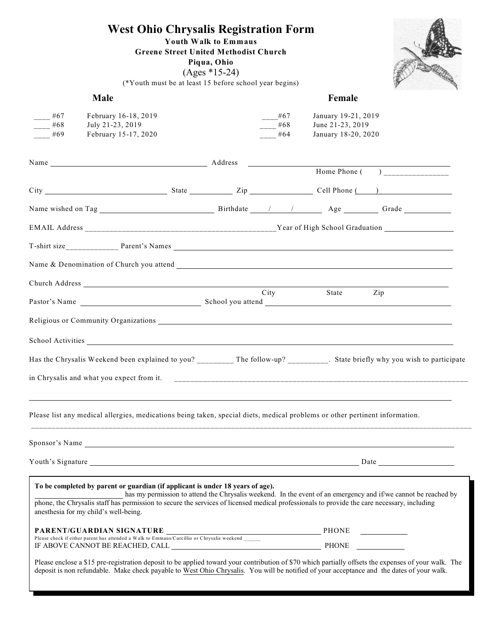## **West Ohio Chrysalis Registration Form**

**Youth Walk to Emmaus**

**Greene Street United Methodist Church**

**Piqua, Ohio** (Ages \*15-24)



(\*Youth must be at least 15 before school year begins)

|            | Male                                                                                                                                                                                                                                                                                                                                                                                     |            | Female                                  |                                                                                                                                                      |
|------------|------------------------------------------------------------------------------------------------------------------------------------------------------------------------------------------------------------------------------------------------------------------------------------------------------------------------------------------------------------------------------------------|------------|-----------------------------------------|------------------------------------------------------------------------------------------------------------------------------------------------------|
| $-$ #67    | February 16-18, 2019                                                                                                                                                                                                                                                                                                                                                                     | $--$ #67   | January 19-21, 2019                     |                                                                                                                                                      |
| #68<br>#69 | July 21-23, 2019<br>February 15-17, 2020                                                                                                                                                                                                                                                                                                                                                 | #68<br>#64 | June 21-23, 2019<br>January 18-20, 2020 |                                                                                                                                                      |
|            |                                                                                                                                                                                                                                                                                                                                                                                          |            |                                         |                                                                                                                                                      |
|            |                                                                                                                                                                                                                                                                                                                                                                                          |            |                                         |                                                                                                                                                      |
|            |                                                                                                                                                                                                                                                                                                                                                                                          |            |                                         | Home Phone $\overline{(\ }$                                                                                                                          |
|            |                                                                                                                                                                                                                                                                                                                                                                                          |            |                                         |                                                                                                                                                      |
|            |                                                                                                                                                                                                                                                                                                                                                                                          |            |                                         |                                                                                                                                                      |
|            |                                                                                                                                                                                                                                                                                                                                                                                          |            |                                         |                                                                                                                                                      |
|            |                                                                                                                                                                                                                                                                                                                                                                                          |            |                                         |                                                                                                                                                      |
|            |                                                                                                                                                                                                                                                                                                                                                                                          |            |                                         |                                                                                                                                                      |
|            |                                                                                                                                                                                                                                                                                                                                                                                          |            |                                         |                                                                                                                                                      |
|            |                                                                                                                                                                                                                                                                                                                                                                                          | City       | State                                   | Zip                                                                                                                                                  |
|            | Religious or Community Organizations                                                                                                                                                                                                                                                                                                                                                     |            |                                         |                                                                                                                                                      |
|            |                                                                                                                                                                                                                                                                                                                                                                                          |            |                                         |                                                                                                                                                      |
|            |                                                                                                                                                                                                                                                                                                                                                                                          |            |                                         | Has the Chrysalis Weekend been explained to you? ________ The follow-up? ________. State briefly why you wish to participate                         |
|            |                                                                                                                                                                                                                                                                                                                                                                                          |            |                                         |                                                                                                                                                      |
|            | Please list any medical allergies, medications being taken, special diets, medical problems or other pertinent information.                                                                                                                                                                                                                                                              |            |                                         |                                                                                                                                                      |
|            | Sponsor's Name                                                                                                                                                                                                                                                                                                                                                                           |            |                                         |                                                                                                                                                      |
|            |                                                                                                                                                                                                                                                                                                                                                                                          |            |                                         |                                                                                                                                                      |
|            | To be completed by parent or guardian (if applicant is under 18 years of age).<br>has my permission to attend the Chrysalis weekend. In the event of an emergency and if/we cannot be reached by<br>phone, the Chrysalis staff has permission to secure the services of licensed medical professionals to provide the care necessary, including<br>anesthesia for my child's well-being. |            |                                         |                                                                                                                                                      |
|            |                                                                                                                                                                                                                                                                                                                                                                                          |            |                                         |                                                                                                                                                      |
|            |                                                                                                                                                                                                                                                                                                                                                                                          |            |                                         |                                                                                                                                                      |
|            |                                                                                                                                                                                                                                                                                                                                                                                          |            |                                         | Please enclose a \$15 pre-registration deposit to be applied toward your contribution of \$70 which partially offsets the expenses of your walk. The |

deposit is non refundable. Make check payable to West Ohio Chrysalis. You will be notified of your acceptance and the dates of your walk.